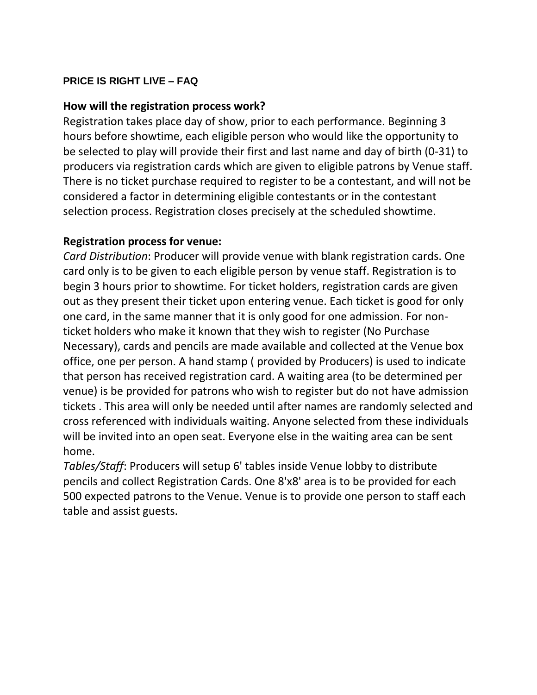## **PRICE IS RIGHT LIVE – FAQ**

## **How will the registration process work?**

Registration takes place day of show, prior to each performance. Beginning 3 hours before showtime, each eligible person who would like the opportunity to be selected to play will provide their first and last name and day of birth (0-31) to producers via registration cards which are given to eligible patrons by Venue staff. There is no ticket purchase required to register to be a contestant, and will not be considered a factor in determining eligible contestants or in the contestant selection process. Registration closes precisely at the scheduled showtime.

## **Registration process for venue:**

*Card Distribution*: Producer will provide venue with blank registration cards. One card only is to be given to each eligible person by venue staff. Registration is to begin 3 hours prior to showtime. For ticket holders, registration cards are given out as they present their ticket upon entering venue. Each ticket is good for only one card, in the same manner that it is only good for one admission. For nonticket holders who make it known that they wish to register (No Purchase Necessary), cards and pencils are made available and collected at the Venue box office, one per person. A hand stamp ( provided by Producers) is used to indicate that person has received registration card. A waiting area (to be determined per venue) is be provided for patrons who wish to register but do not have admission tickets . This area will only be needed until after names are randomly selected and cross referenced with individuals waiting. Anyone selected from these individuals will be invited into an open seat. Everyone else in the waiting area can be sent home.

*Tables/Staff*: Producers will setup 6' tables inside Venue lobby to distribute pencils and collect Registration Cards. One 8'x8' area is to be provided for each 500 expected patrons to the Venue. Venue is to provide one person to staff each table and assist guests.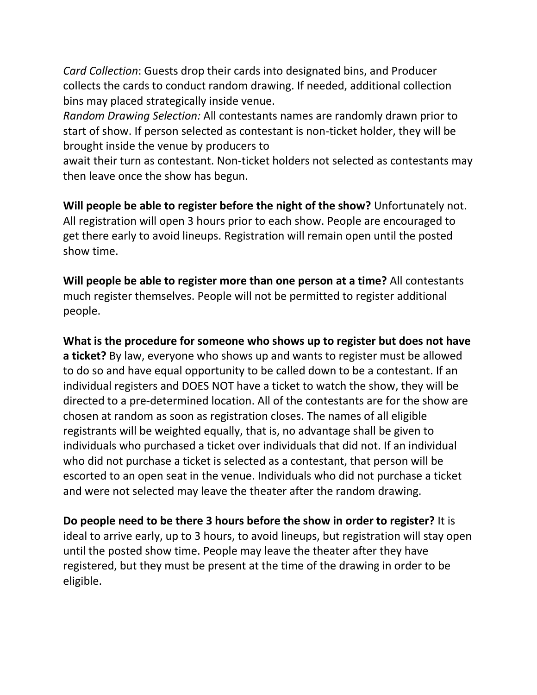*Card Collection*: Guests drop their cards into designated bins, and Producer collects the cards to conduct random drawing. If needed, additional collection bins may placed strategically inside venue.

*Random Drawing Selection:* All contestants names are randomly drawn prior to start of show. If person selected as contestant is non-ticket holder, they will be brought inside the venue by producers to

await their turn as contestant. Non-ticket holders not selected as contestants may then leave once the show has begun.

**Will people be able to register before the night of the show?** Unfortunately not. All registration will open 3 hours prior to each show. People are encouraged to get there early to avoid lineups. Registration will remain open until the posted show time.

**Will people be able to register more than one person at a time?** All contestants much register themselves. People will not be permitted to register additional people.

**What is the procedure for someone who shows up to register but does not have a ticket?** By law, everyone who shows up and wants to register must be allowed to do so and have equal opportunity to be called down to be a contestant. If an individual registers and DOES NOT have a ticket to watch the show, they will be directed to a pre-determined location. All of the contestants are for the show are chosen at random as soon as registration closes. The names of all eligible registrants will be weighted equally, that is, no advantage shall be given to individuals who purchased a ticket over individuals that did not. If an individual who did not purchase a ticket is selected as a contestant, that person will be escorted to an open seat in the venue. Individuals who did not purchase a ticket and were not selected may leave the theater after the random drawing.

**Do people need to be there 3 hours before the show in order to register?** It is ideal to arrive early, up to 3 hours, to avoid lineups, but registration will stay open until the posted show time. People may leave the theater after they have registered, but they must be present at the time of the drawing in order to be eligible.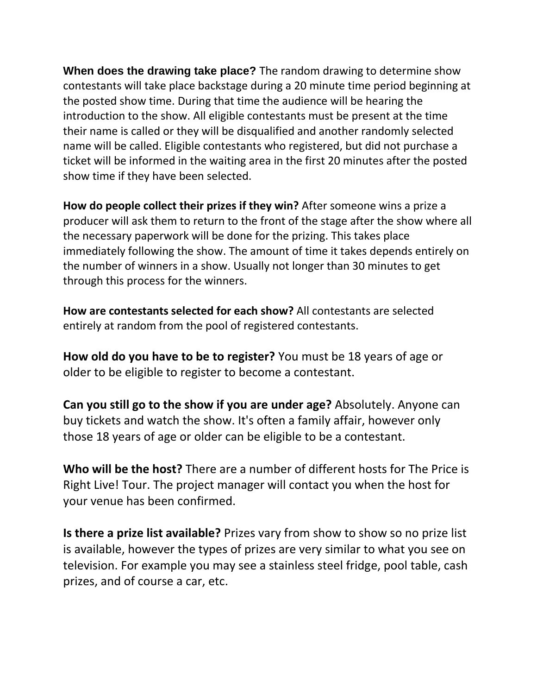**When does the drawing take place?** The random drawing to determine show contestants will take place backstage during a 20 minute time period beginning at the posted show time. During that time the audience will be hearing the introduction to the show. All eligible contestants must be present at the time their name is called or they will be disqualified and another randomly selected name will be called. Eligible contestants who registered, but did not purchase a ticket will be informed in the waiting area in the first 20 minutes after the posted show time if they have been selected.

**How do people collect their prizes if they win?** After someone wins a prize a producer will ask them to return to the front of the stage after the show where all the necessary paperwork will be done for the prizing. This takes place immediately following the show. The amount of time it takes depends entirely on the number of winners in a show. Usually not longer than 30 minutes to get through this process for the winners.

**How are contestants selected for each show?** All contestants are selected entirely at random from the pool of registered contestants.

**How old do you have to be to register?** You must be 18 years of age or older to be eligible to register to become a contestant.

**Can you still go to the show if you are under age?** Absolutely. Anyone can buy tickets and watch the show. It's often a family affair, however only those 18 years of age or older can be eligible to be a contestant.

**Who will be the host?** There are a number of different hosts for The Price is Right Live! Tour. The project manager will contact you when the host for your venue has been confirmed.

**Is there a prize list available?** Prizes vary from show to show so no prize list is available, however the types of prizes are very similar to what you see on television. For example you may see a stainless steel fridge, pool table, cash prizes, and of course a car, etc.